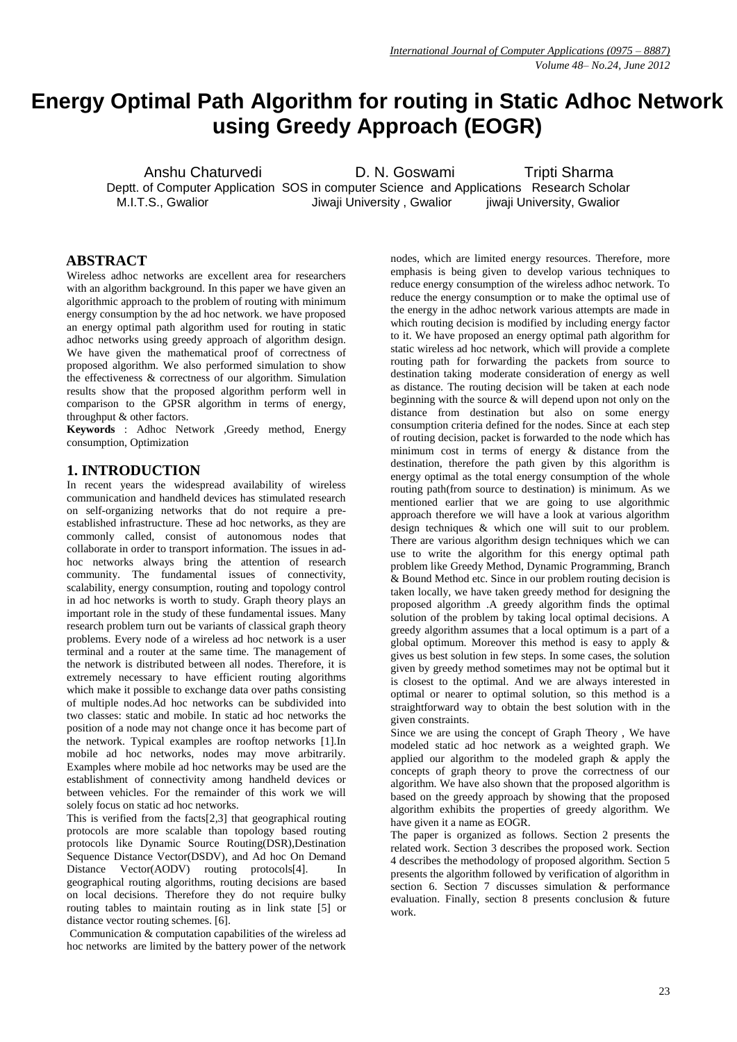# **Energy Optimal Path Algorithm for routing in Static Adhoc Network using Greedy Approach (EOGR)**

Anshu Chaturvedi **D. N. Goswami** Tripti Sharma Deptt. of Computer Application SOS in computer Science and Applications Research Scholar M.I.T.S., Gwalior **M.I.T.S., Gwalior** Jiwaji University , Gwalior *jiwaji University*, Gwalior

# **ABSTRACT**

Wireless adhoc networks are excellent area for researchers with an algorithm background. In this paper we have given an algorithmic approach to the problem of routing with minimum energy consumption by the ad hoc network. we have proposed an energy optimal path algorithm used for routing in static adhoc networks using greedy approach of algorithm design. We have given the mathematical proof of correctness of proposed algorithm. We also performed simulation to show the effectiveness & correctness of our algorithm. Simulation results show that the proposed algorithm perform well in comparison to the GPSR algorithm in terms of energy, throughput & other factors.

**Keywords** : Adhoc Network ,Greedy method, Energy consumption, Optimization

# **1. INTRODUCTION**

In recent years the widespread availability of wireless communication and handheld devices has stimulated research on self-organizing networks that do not require a preestablished infrastructure. These ad hoc networks, as they are commonly called, consist of autonomous nodes that collaborate in order to transport information. The issues in adhoc networks always bring the attention of research community. The fundamental issues of connectivity, scalability, energy consumption, routing and topology control in ad hoc networks is worth to study. Graph theory plays an important role in the study of these fundamental issues. Many research problem turn out be variants of classical graph theory problems. Every node of a wireless ad hoc network is a user terminal and a router at the same time. The management of the network is distributed between all nodes. Therefore, it is extremely necessary to have efficient routing algorithms which make it possible to exchange data over paths consisting of multiple nodes.Ad hoc networks can be subdivided into two classes: static and mobile. In static ad hoc networks the position of a node may not change once it has become part of the network. Typical examples are rooftop networks [1].In mobile ad hoc networks, nodes may move arbitrarily. Examples where mobile ad hoc networks may be used are the establishment of connectivity among handheld devices or between vehicles. For the remainder of this work we will solely focus on static ad hoc networks.

This is verified from the facts[2,3] that geographical routing protocols are more scalable than topology based routing protocols like Dynamic Source Routing(DSR),Destination Sequence Distance Vector(DSDV), and Ad hoc On Demand Distance Vector(AODV) routing protocols[4]. In geographical routing algorithms, routing decisions are based on local decisions. Therefore they do not require bulky routing tables to maintain routing as in link state [5] or distance vector routing schemes. [6].

Communication & computation capabilities of the wireless ad hoc networks are limited by the battery power of the network nodes, which are limited energy resources. Therefore, more emphasis is being given to develop various techniques to reduce energy consumption of the wireless adhoc network. To reduce the energy consumption or to make the optimal use of the energy in the adhoc network various attempts are made in which routing decision is modified by including energy factor to it. We have proposed an energy optimal path algorithm for static wireless ad hoc network, which will provide a complete routing path for forwarding the packets from source to destination taking moderate consideration of energy as well as distance. The routing decision will be taken at each node beginning with the source & will depend upon not only on the distance from destination but also on some energy consumption criteria defined for the nodes. Since at each step of routing decision, packet is forwarded to the node which has minimum cost in terms of energy & distance from the destination, therefore the path given by this algorithm is energy optimal as the total energy consumption of the whole routing path(from source to destination) is minimum. As we mentioned earlier that we are going to use algorithmic approach therefore we will have a look at various algorithm design techniques & which one will suit to our problem. There are various algorithm design techniques which we can use to write the algorithm for this energy optimal path problem like Greedy Method, Dynamic Programming, Branch & Bound Method etc. Since in our problem routing decision is taken locally, we have taken greedy method for designing the proposed algorithm .A greedy algorithm finds the optimal solution of the problem by taking local optimal decisions. A greedy algorithm assumes that a local optimum is a part of a global optimum. Moreover this method is easy to apply & gives us best solution in few steps. In some cases, the solution given by greedy method sometimes may not be optimal but it is closest to the optimal. And we are always interested in optimal or nearer to optimal solution, so this method is a straightforward way to obtain the best solution with in the given constraints.

Since we are using the concept of Graph Theory , We have modeled static ad hoc network as a weighted graph. We applied our algorithm to the modeled graph & apply the concepts of graph theory to prove the correctness of our algorithm. We have also shown that the proposed algorithm is based on the greedy approach by showing that the proposed algorithm exhibits the properties of greedy algorithm. We have given it a name as EOGR.

The paper is organized as follows. Section 2 presents the related work. Section 3 describes the proposed work. Section 4 describes the methodology of proposed algorithm. Section 5 presents the algorithm followed by verification of algorithm in section 6. Section 7 discusses simulation & performance evaluation. Finally, section 8 presents conclusion & future work.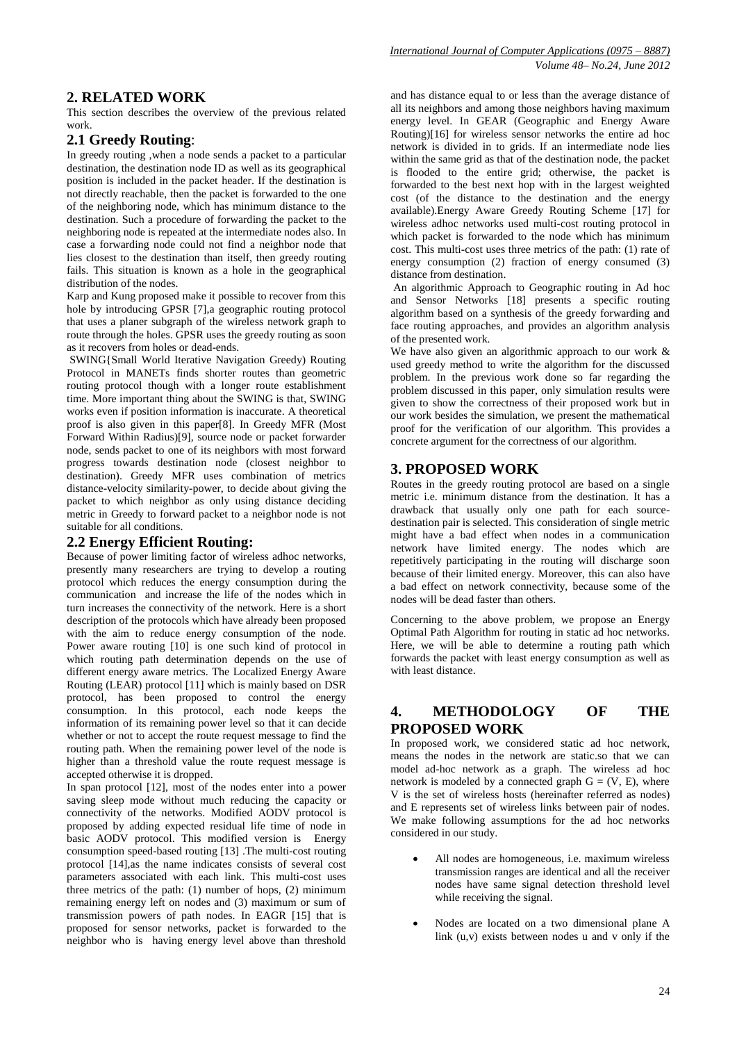# **2. RELATED WORK**

This section describes the overview of the previous related work.

# **2.1 Greedy Routing**:

In greedy routing ,when a node sends a packet to a particular destination, the destination node ID as well as its geographical position is included in the packet header. If the destination is not directly reachable, then the packet is forwarded to the one of the neighboring node, which has minimum distance to the destination. Such a procedure of forwarding the packet to the neighboring node is repeated at the intermediate nodes also. In case a forwarding node could not find a neighbor node that lies closest to the destination than itself, then greedy routing fails. This situation is known as a hole in the geographical distribution of the nodes.

Karp and Kung proposed make it possible to recover from this hole by introducing GPSR [7],a geographic routing protocol that uses a planer subgraph of the wireless network graph to route through the holes. GPSR uses the greedy routing as soon as it recovers from holes or dead-ends.

SWING{Small World Iterative Navigation Greedy) Routing Protocol in MANETs finds shorter routes than geometric routing protocol though with a longer route establishment time. More important thing about the SWING is that, SWING works even if position information is inaccurate. A theoretical proof is also given in this paper[8]. In Greedy MFR (Most Forward Within Radius)[9], source node or packet forwarder node, sends packet to one of its neighbors with most forward progress towards destination node (closest neighbor to destination). Greedy MFR uses combination of metrics distance-velocity similarity-power, to decide about giving the packet to which neighbor as only using distance deciding metric in Greedy to forward packet to a neighbor node is not suitable for all conditions.

### **2.2 Energy Efficient Routing:**

Because of power limiting factor of wireless adhoc networks, presently many researchers are trying to develop a routing protocol which reduces the energy consumption during the communication and increase the life of the nodes which in turn increases the connectivity of the network. Here is a short description of the protocols which have already been proposed with the aim to reduce energy consumption of the node. Power aware routing [10] is one such kind of protocol in which routing path determination depends on the use of different energy aware metrics. The Localized Energy Aware Routing (LEAR) protocol [11] which is mainly based on DSR protocol, has been proposed to control the energy consumption. In this protocol, each node keeps the information of its remaining power level so that it can decide whether or not to accept the route request message to find the routing path. When the remaining power level of the node is higher than a threshold value the route request message is accepted otherwise it is dropped.

In span protocol [12], most of the nodes enter into a power saving sleep mode without much reducing the capacity or connectivity of the networks. Modified AODV protocol is proposed by adding expected residual life time of node in basic AODV protocol. This modified version is Energy consumption speed-based routing [13] .The multi-cost routing protocol [14],as the name indicates consists of several cost parameters associated with each link. This multi-cost uses three metrics of the path: (1) number of hops, (2) minimum remaining energy left on nodes and (3) maximum or sum of transmission powers of path nodes. In EAGR [15] that is proposed for sensor networks, packet is forwarded to the neighbor who is having energy level above than threshold

and has distance equal to or less than the average distance of all its neighbors and among those neighbors having maximum energy level. In GEAR (Geographic and Energy Aware Routing)[16] for wireless sensor networks the entire ad hoc network is divided in to grids. If an intermediate node lies within the same grid as that of the destination node, the packet is flooded to the entire grid; otherwise, the packet is forwarded to the best next hop with in the largest weighted cost (of the distance to the destination and the energy available).Energy Aware Greedy Routing Scheme [17] for wireless adhoc networks used multi-cost routing protocol in which packet is forwarded to the node which has minimum cost. This multi-cost uses three metrics of the path: (1) rate of energy consumption (2) fraction of energy consumed (3) distance from destination.

An algorithmic Approach to Geographic routing in Ad hoc and Sensor Networks [18] presents a specific routing algorithm based on a synthesis of the greedy forwarding and face routing approaches, and provides an algorithm analysis of the presented work.

We have also given an algorithmic approach to our work  $\&$ used greedy method to write the algorithm for the discussed problem. In the previous work done so far regarding the problem discussed in this paper, only simulation results were given to show the correctness of their proposed work but in our work besides the simulation, we present the mathematical proof for the verification of our algorithm. This provides a concrete argument for the correctness of our algorithm.

# **3. PROPOSED WORK**

Routes in the greedy routing protocol are based on a single metric i.e. minimum distance from the destination. It has a drawback that usually only one path for each sourcedestination pair is selected. This consideration of single metric might have a bad effect when nodes in a communication network have limited energy. The nodes which are repetitively participating in the routing will discharge soon because of their limited energy. Moreover, this can also have a bad effect on network connectivity, because some of the nodes will be dead faster than others.

Concerning to the above problem, we propose an Energy Optimal Path Algorithm for routing in static ad hoc networks. Here, we will be able to determine a routing path which forwards the packet with least energy consumption as well as with least distance.

# **4. METHODOLOGY OF THE PROPOSED WORK**

In proposed work, we considered static ad hoc network, means the nodes in the network are static.so that we can model ad-hoc network as a graph. The wireless ad hoc network is modeled by a connected graph  $G = (V, E)$ , where V is the set of wireless hosts (hereinafter referred as nodes) and E represents set of wireless links between pair of nodes. We make following assumptions for the ad hoc networks considered in our study.

- All nodes are homogeneous, i.e. maximum wireless transmission ranges are identical and all the receiver nodes have same signal detection threshold level while receiving the signal.
- Nodes are located on a two dimensional plane A link (u,v) exists between nodes u and v only if the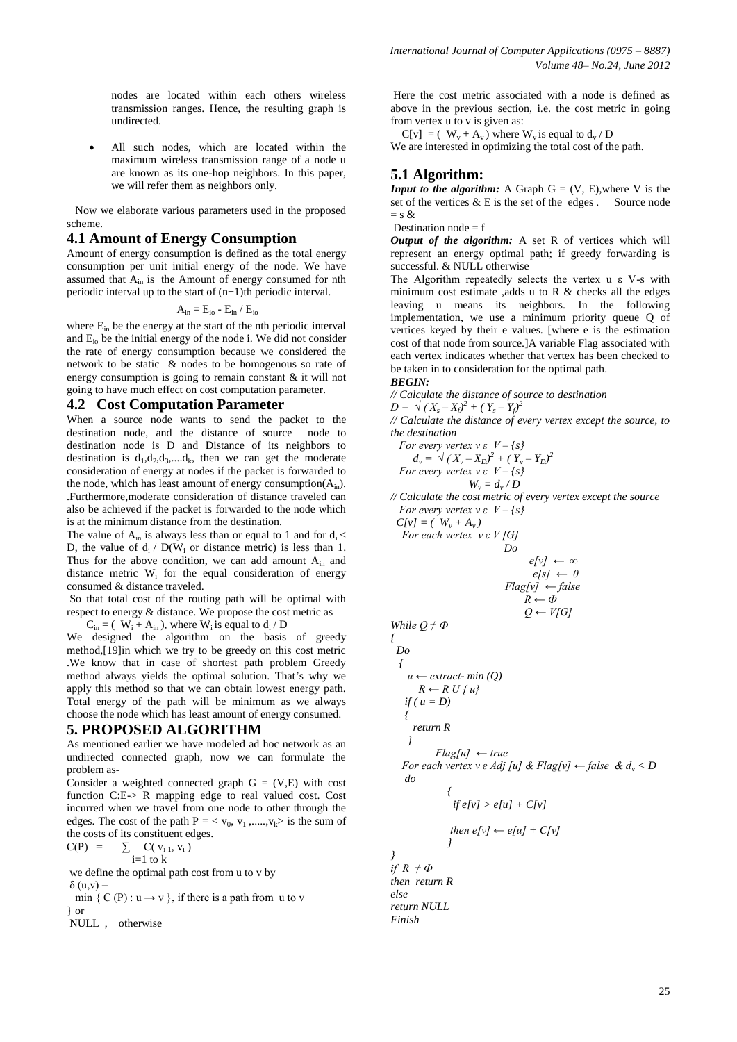nodes are located within each others wireless transmission ranges. Hence, the resulting graph is undirected.

 All such nodes, which are located within the maximum wireless transmission range of a node u are known as its one-hop neighbors. In this paper, we will refer them as neighbors only.

 Now we elaborate various parameters used in the proposed scheme.

#### **4.1 Amount of Energy Consumption**

Amount of energy consumption is defined as the total energy consumption per unit initial energy of the node. We have assumed that  $A_{in}$  is the Amount of energy consumed for nth periodic interval up to the start of  $(n+1)$ th periodic interval.

$$
A_{in} = E_{io} - E_{in} / E_{io}
$$

where  $E_{in}$  be the energy at the start of the nth periodic interval and Eio be the initial energy of the node i. We did not consider the rate of energy consumption because we considered the network to be static & nodes to be homogenous so rate of energy consumption is going to remain constant & it will not going to have much effect on cost computation parameter.

#### **4.2 Cost Computation Parameter**

When a source node wants to send the packet to the destination node, and the distance of source node to destination node is D and Distance of its neighbors to destination is  $d_1, d_2, d_3, \dots, d_k$ , then we can get the moderate consideration of energy at nodes if the packet is forwarded to the node, which has least amount of energy consumption( $A_{in}$ ). .Furthermore,moderate consideration of distance traveled can also be achieved if the packet is forwarded to the node which is at the minimum distance from the destination.

The value of  $A_{in}$  is always less than or equal to 1 and for  $d_i <$ D, the value of  $d_i / D(W_i)$  or distance metric) is less than 1. Thus for the above condition, we can add amount  $A_{in}$  and distance metric W<sub>i</sub> for the equal consideration of energy consumed & distance traveled.

So that total cost of the routing path will be optimal with respect to energy & distance. We propose the cost metric as

 $C_{\text{in}} = (W_i + A_{\text{in}})$ , where  $W_i$  is equal to  $d_i/D$ 

We designed the algorithm on the basis of greedy method,[19]in which we try to be greedy on this cost metric .We know that in case of shortest path problem Greedy method always yields the optimal solution. That's why we apply this method so that we can obtain lowest energy path. Total energy of the path will be minimum as we always choose the node which has least amount of energy consumed.

### **5. PROPOSED ALGORITHM**

As mentioned earlier we have modeled ad hoc network as an undirected connected graph, now we can formulate the problem as-

Consider a weighted connected graph  $G = (V,E)$  with cost function C:E-> R mapping edge to real valued cost. Cost incurred when we travel from one node to other through the edges. The cost of the path  $P = \langle v_0, v_1, \dots, v_k \rangle$  is the sum of the costs of its constituent edges.  $C(P)$ 

$$
P) = \sum_{i=1}^{n} C(v_{i-1}, v_i)
$$

we define the optimal path cost from u to v by  $δ$  (u,v) =

min {  $C(P)$  :  $u \rightarrow v$  }, if there is a path from u to v } or

NULL , otherwise

Here the cost metric associated with a node is defined as above in the previous section, i.e. the cost metric in going from vertex u to v is given as:

 $C[v] = (W_v + A_v)$  where  $W_v$  is equal to  $d_v / D$ We are interested in optimizing the total cost of the path.

### **5.1 Algorithm:**

*Input to the algorithm:* A Graph  $G = (V, E)$ , where V is the set of the vertices  $&E$  is the set of the edges . Source node  $=$  s  $\&$ 

Destination node  $= f$ 

*Output of the algorithm:* A set R of vertices which will represent an energy optimal path; if greedy forwarding is successful. & NULL otherwise

The Algorithm repeatedly selects the vertex u ε V-s with minimum cost estimate ,adds u to R  $\&$  checks all the edges leaving u means its neighbors. In the following implementation, we use a minimum priority queue Q of vertices keyed by their e values. [where e is the estimation cost of that node from source.]A variable Flag associated with each vertex indicates whether that vertex has been checked to be taken in to consideration for the optimal path.

#### *BEGIN:*

*{* 

*// Calculate the distance of source to destination*  $D = \sqrt{(X_s - X_f)^2 + (Y_s - Y_f)^2}$ 

*// Calculate the distance of every vertex except the source, to the destination* 

For every vertex 
$$
v \in V - \{s\}
$$
  
\n $d_v = \sqrt{(X_v - X_D)^2 + (Y_v - Y_D)^2}$   
\nFor every vertex  $v \in V - \{s\}$   
\n $W_v = d_v/D$ 

*// Calculate the cost metric of every vertex except the source For every vertex v ε V – {s}*

 $C[v] = (W_v + A_v)$  *For each vertex v ε V [G] Do* 

$$
e[v] \leftarrow \infty
$$
  
\n
$$
e[s] \leftarrow 0
$$
  
\n
$$
Flag[v] \leftarrow false
$$
  
\n
$$
R \leftarrow \Phi
$$

*Q ← V[G]*

$$
0.14
$$

While 
$$
Q \neq \Phi
$$
  
\n
$$
\begin{cases}\n1 & \text{if } u \leftarrow \text{extract} - \min(Q) \\
R \leftarrow R \cup \{u\} \\
\text{if } (u = D)\n\end{cases}
$$
\n
$$
\begin{cases}\n1 & \text{if } x \in \mathbb{R} \\
\text{if } |u| & \text{if } |u| \leq r \text{if } |u| \leq r \text{if } |u| & \text{if } |u| \leq r \text{if } |u| & \text{if } |u| & \text{if } |u| \leq r \text{if } |u| & \text{if } |u| & \text{if } |u| & \text{if } |u| & \text{if } |u| & \text{if } |u| & \text{if } |u| & \text{if } |u| & \text{if } |u| & \text{if } |u| & \text{if } |u| & \text{if } |u| & \text{if } |u| & \text{if } |u| & \text{if } |u| & \text{if } |u| & \text{if } |u| & \text{if } |u| & \text{if } |u| & \text{if } |u| & \text{if } |u| & \text{if } |u| & \text{if } |u| & \text{if } |u| & \text{if } |u| & \text{if } |u| & \text{if } |u| & \text{if } |u| & \text{if } |u| & \text{if } |u| & \text{if } |u| & \text{if } |u| & \text{if } |u| & \text{if } |u| & \text{if } |u| & \text{if } |u| & \text{if } |u| & \text{if } |u| & \text{if } |u| & \text{if } |u| & \text{if } |u| & \text{if } |u| & \text{if } |u| & \text{if } |u| & \text{if } |u| & \text{if } |u| & \text{if } |u| & \text{if } |u| & \text{if } |u| & \text{if } |u| & \text{if } |u| & \text{if } |u| & \text{if } |u| & \text{if } |u| & \text{if } |u| & \text{if } |u| & \text{if } |u| & \text{if } |u| & \text{if } |u| & \text{if } |u| & \text{if } |u| & \text{if } |u| & \text{if } |u| & \text{if }
$$

then 
$$
e[v] \leftarrow e[u] + C[v]
$$

*} } if R ≠ Ф then return R else return NULL Finish*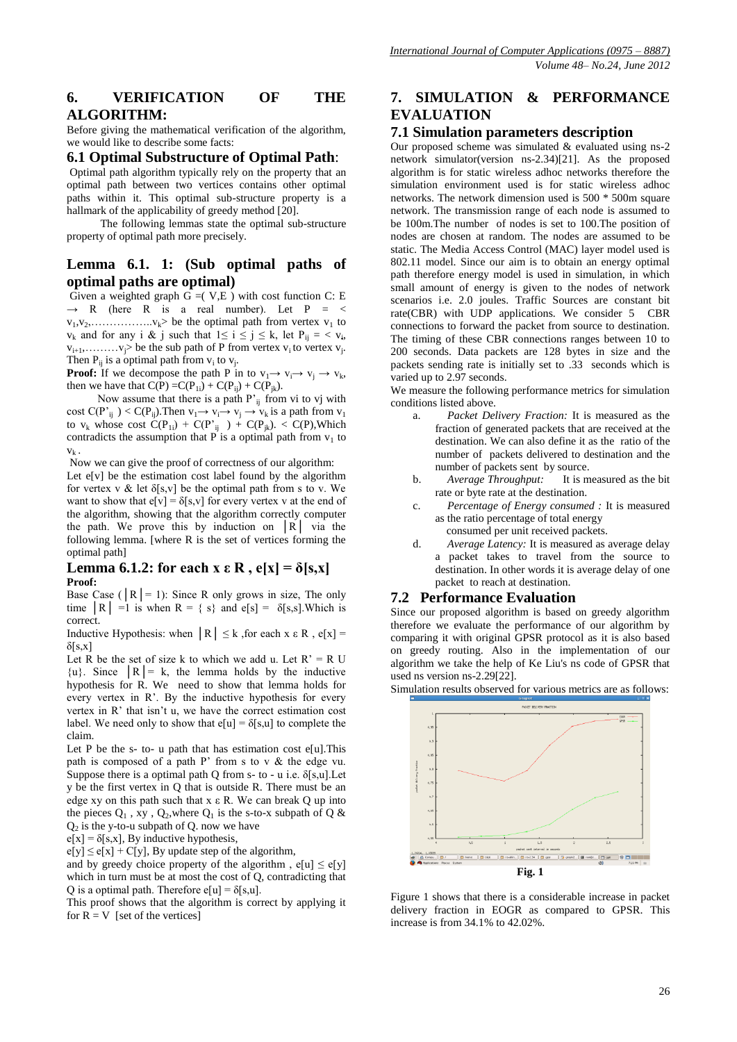# **6. VERIFICATION OF THE ALGORITHM:**

Before giving the mathematical verification of the algorithm, we would like to describe some facts:

### **6.1 Optimal Substructure of Optimal Path**:

Optimal path algorithm typically rely on the property that an optimal path between two vertices contains other optimal paths within it. This optimal sub-structure property is a hallmark of the applicability of greedy method [20].

 The following lemmas state the optimal sub-structure property of optimal path more precisely.

# **Lemma 6.1. 1: (Sub optimal paths of optimal paths are optimal)**

Given a weighted graph  $G = (V, E)$  with cost function C: E  $\rightarrow$  R (here R is a real number). Let P = <  $v_1, v_2, \ldots, \ldots, v_k$  be the optimal path from vertex  $v_1$  to  $v_k$  and for any i & j such that  $1 \le i \le j \le k$ , let  $P_{ij} = \langle v_i, v_j \rangle$  $v_{i+1}, \ldots, v_j$  be the sub path of P from vertex  $v_i$  to vertex  $v_j$ . Then  $P_{ij}$  is a optimal path from  $v_i$  to  $v_j$ .

**Proof:** If we decompose the path P in to  $v_1 \rightarrow v_i \rightarrow v_j \rightarrow v_k$ , then we have that  $\overrightarrow{C(P)} = \overrightarrow{C(P_{1i})} + \overrightarrow{C(P_{i}}) + \overrightarrow{C(P_{ik})}$ .

Now assume that there is a path  $P'_{ij}$  from vi to vj with cost  $C(P'_{ij}) < C(P_{ij})$ . Then  $v_1 \rightarrow v_i \rightarrow v_j \rightarrow v_k$  is a path from  $v_1$ to  $v_k$  whose cost  $C(P_{1i}) + C(P'_{ij}) + C(P_{jk})$ . <  $C(P)$ , Which contradicts the assumption that P is a optimal path from  $v_1$  to  $V_k$ .

Now we can give the proof of correctness of our algorithm:

Let  $e[v]$  be the estimation cost label found by the algorithm for vertex v & let  $\delta[s, v]$  be the optimal path from s to v. We want to show that  $e[v] = \delta[s, v]$  for every vertex v at the end of the algorithm, showing that the algorithm correctly computer the path. We prove this by induction on  $|R|$  via the following lemma. [where R is the set of vertices forming the optimal path]

#### **Lemma 6.1.2: for each x**  $\epsilon$  **R**,  $\epsilon$ [x] =  $\delta$ [s,x] **Proof:**

Base Case ( $|R| = 1$ ): Since R only grows in size, The only time  $|R| = 1$  is when  $R = \{ s \}$  and  $e[s] = \delta[s, s]$ . Which is correct.

Inductive Hypothesis: when  $|R| \leq k$ , for each  $x \in R$ ,  $e[x] =$  $δ[s,x]$ 

Let R be the set of size k to which we add u. Let  $R' = R U$  $\{u\}$ . Since  $|R| = k$ , the lemma holds by the inductive hypothesis for R. We need to show that lemma holds for every vertex in R'. By the inductive hypothesis for every vertex in R' that isn't u, we have the correct estimation cost label. We need only to show that  $e[u] = \delta[s, u]$  to complete the claim.

Let P be the s- to- u path that has estimation cost e[u].This path is composed of a path  $P'$  from s to v  $\&$  the edge vu. Suppose there is a optimal path Q from s- to - u i.e.  $\delta$ [s,u]. Let y be the first vertex in Q that is outside R. There must be an edge xy on this path such that  $x \in R$ . We can break Q up into the pieces  $Q_1$ , xy,  $Q_2$ , where  $Q_1$  is the s-to-x subpath of Q &  $Q_2$  is the y-to-u subpath of  $Q$ . now we have

 $e[x] = \delta[s, x]$ , By inductive hypothesis,

 $e[y] \le e[x] + C[y]$ , By update step of the algorithm,

and by greedy choice property of the algorithm,  $e[u] \leq e[y]$ which in turn must be at most the cost of Q, contradicting that O is a optimal path. Therefore  $e[u] = \delta[s, u]$ .

This proof shows that the algorithm is correct by applying it for  $R = V$  [set of the vertices]

# **7. SIMULATION & PERFORMANCE EVALUATION**

#### **7.1 Simulation parameters description**

Our proposed scheme was simulated & evaluated using ns-2 network simulator(version ns-2.34)[21]. As the proposed algorithm is for static wireless adhoc networks therefore the simulation environment used is for static wireless adhoc networks. The network dimension used is 500 \* 500m square network. The transmission range of each node is assumed to be 100m.The number of nodes is set to 100.The position of nodes are chosen at random. The nodes are assumed to be static. The Media Access Control (MAC) layer model used is 802.11 model. Since our aim is to obtain an energy optimal path therefore energy model is used in simulation, in which small amount of energy is given to the nodes of network scenarios i.e. 2.0 joules. Traffic Sources are constant bit rate(CBR) with UDP applications. We consider 5 CBR connections to forward the packet from source to destination. The timing of these CBR connections ranges between 10 to 200 seconds. Data packets are 128 bytes in size and the packets sending rate is initially set to .33 seconds which is varied up to 2.97 seconds.

We measure the following performance metrics for simulation conditions listed above.

- a. *Packet Delivery Fraction:* It is measured as the fraction of generated packets that are received at the destination. We can also define it as the ratio of the number of packets delivered to destination and the number of packets sent by source.
- b. *Average Throughput:* It is measured as the bit rate or byte rate at the destination.
- c. *Percentage of Energy consumed :* It is measured as the ratio percentage of total energy consumed per unit received packets.
- d. *Average Latency:* It is measured as average delay a packet takes to travel from the source to destination. In other words it is average delay of one packet to reach at destination.

# **7.2 Performance Evaluation**

Since our proposed algorithm is based on greedy algorithm therefore we evaluate the performance of our algorithm by comparing it with original GPSR protocol as it is also based on greedy routing. Also in the implementation of our algorithm we take the help of Ke Liu's ns code of GPSR that used ns version ns-2.29[22].





Figure 1 shows that there is a considerable increase in packet delivery fraction in EOGR as compared to GPSR. This increase is from 34.1% to 42.02%.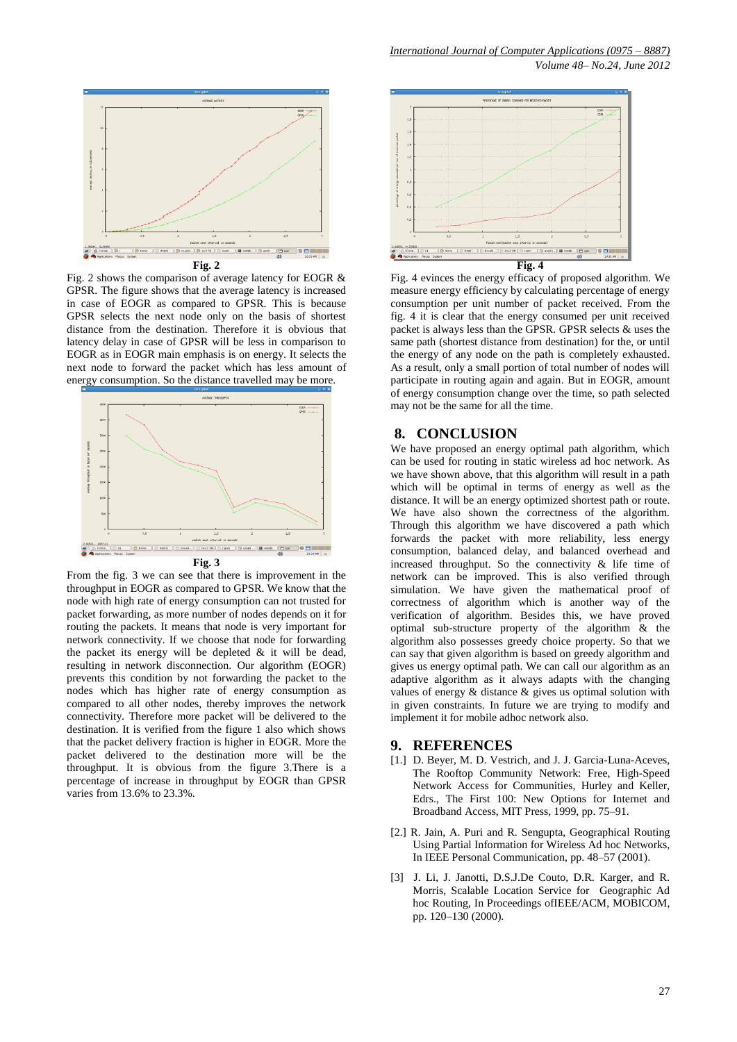

Fig. 2 shows the comparison of average latency for EOGR & GPSR. The figure shows that the average latency is increased in case of EOGR as compared to GPSR. This is because GPSR selects the next node only on the basis of shortest distance from the destination. Therefore it is obvious that latency delay in case of GPSR will be less in comparison to EOGR as in EOGR main emphasis is on energy. It selects the next node to forward the packet which has less amount of energy consumption. So the distance travelled may be more.



From the fig. 3 we can see that there is improvement in the throughput in EOGR as compared to GPSR. We know that the node with high rate of energy consumption can not trusted for packet forwarding, as more number of nodes depends on it for routing the packets. It means that node is very important for network connectivity. If we choose that node for forwarding the packet its energy will be depleted  $\&$  it will be dead, resulting in network disconnection. Our algorithm (EOGR) prevents this condition by not forwarding the packet to the nodes which has higher rate of energy consumption as compared to all other nodes, thereby improves the network connectivity. Therefore more packet will be delivered to the destination. It is verified from the figure 1 also which shows that the packet delivery fraction is higher in EOGR. More the packet delivered to the destination more will be the throughput. It is obvious from the figure 3.There is a percentage of increase in throughput by EOGR than GPSR varies from 13.6% to 23.3%.



Fig. 4 evinces the energy efficacy of proposed algorithm. We measure energy efficiency by calculating percentage of energy consumption per unit number of packet received. From the fig. 4 it is clear that the energy consumed per unit received packet is always less than the GPSR. GPSR selects & uses the same path (shortest distance from destination) for the, or until the energy of any node on the path is completely exhausted. As a result, only a small portion of total number of nodes will participate in routing again and again. But in EOGR, amount of energy consumption change over the time, so path selected may not be the same for all the time.

# **8. CONCLUSION**

We have proposed an energy optimal path algorithm, which can be used for routing in static wireless ad hoc network. As we have shown above, that this algorithm will result in a path which will be optimal in terms of energy as well as the distance. It will be an energy optimized shortest path or route. We have also shown the correctness of the algorithm. Through this algorithm we have discovered a path which forwards the packet with more reliability, less energy consumption, balanced delay, and balanced overhead and increased throughput. So the connectivity & life time of network can be improved. This is also verified through simulation. We have given the mathematical proof of correctness of algorithm which is another way of the verification of algorithm. Besides this, we have proved optimal sub-structure property of the algorithm & the algorithm also possesses greedy choice property. So that we can say that given algorithm is based on greedy algorithm and gives us energy optimal path. We can call our algorithm as an adaptive algorithm as it always adapts with the changing values of energy & distance & gives us optimal solution with in given constraints. In future we are trying to modify and implement it for mobile adhoc network also.

#### **9. REFERENCES**

- [1.] D. Beyer, M. D. Vestrich, and J. J. Garcia-Luna-Aceves, The Rooftop Community Network: Free, High-Speed Network Access for Communities, Hurley and Keller, Edrs., The First 100: New Options for Internet and Broadband Access, MIT Press, 1999, pp. 75–91.
- [2.] R. Jain, A. Puri and R. Sengupta, Geographical Routing Using Partial Information for Wireless Ad hoc Networks, In IEEE Personal Communication, pp. 48–57 (2001).
- [3] J. Li, J. Janotti, D.S.J.De Couto, D.R. Karger, and R. Morris, Scalable Location Service for Geographic Ad hoc Routing, In Proceedings ofIEEE/ACM, MOBICOM, pp. 120–130 (2000).